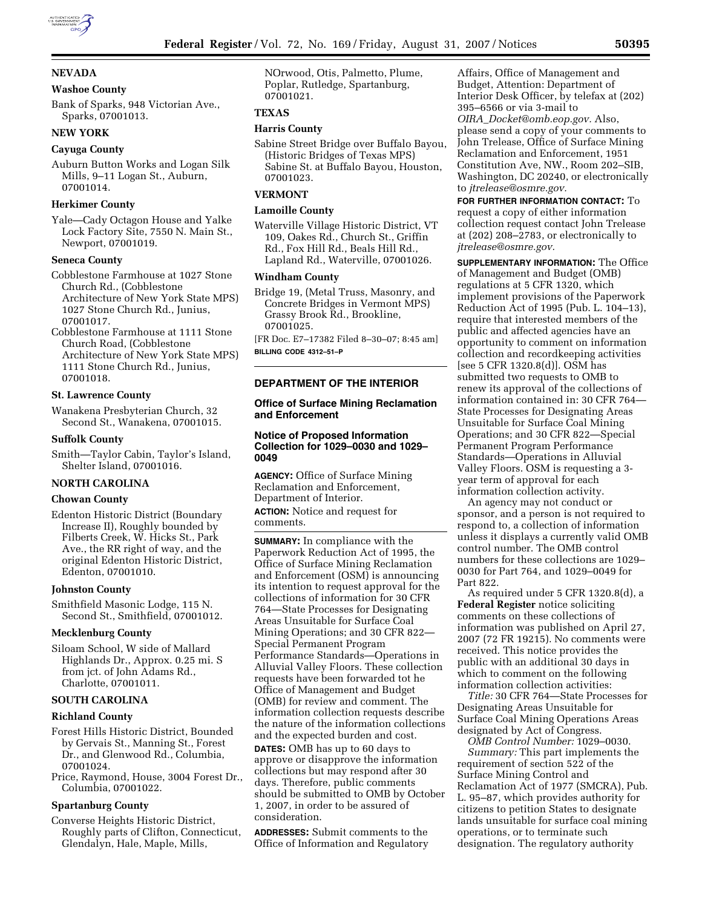

# **NEVADA**

# **Washoe County**

Bank of Sparks, 948 Victorian Ave., Sparks, 07001013.

# **NEW YORK**

## **Cayuga County**

Auburn Button Works and Logan Silk Mills, 9–11 Logan St., Auburn, 07001014.

### **Herkimer County**

Yale—Cady Octagon House and Yalke Lock Factory Site, 7550 N. Main St., Newport, 07001019.

## **Seneca County**

Cobblestone Farmhouse at 1027 Stone Church Rd., (Cobblestone Architecture of New York State MPS) 1027 Stone Church Rd., Junius, 07001017.

Cobblestone Farmhouse at 1111 Stone Church Road, (Cobblestone Architecture of New York State MPS) 1111 Stone Church Rd., Junius, 07001018.

## **St. Lawrence County**

Wanakena Presbyterian Church, 32 Second St., Wanakena, 07001015.

## **Suffolk County**

Smith—Taylor Cabin, Taylor's Island, Shelter Island, 07001016.

## **NORTH CAROLINA**

## **Chowan County**

Edenton Historic District (Boundary Increase II), Roughly bounded by Filberts Creek, W. Hicks St., Park Ave., the RR right of way, and the original Edenton Historic District, Edenton, 07001010.

#### **Johnston County**

Smithfield Masonic Lodge, 115 N. Second St., Smithfield, 07001012.

### **Mecklenburg County**

Siloam School, W side of Mallard Highlands Dr., Approx. 0.25 mi. S from jct. of John Adams Rd., Charlotte, 07001011.

## **SOUTH CAROLINA**

### **Richland County**

- Forest Hills Historic District, Bounded by Gervais St., Manning St., Forest Dr., and Glenwood Rd., Columbia, 07001024.
- Price, Raymond, House, 3004 Forest Dr., Columbia, 07001022.

# **Spartanburg County**

Converse Heights Historic District, Roughly parts of Clifton, Connecticut, Glendalyn, Hale, Maple, Mills,

NOrwood, Otis, Palmetto, Plume, Poplar, Rutledge, Spartanburg, 07001021.

# **TEXAS**

### **Harris County**

Sabine Street Bridge over Buffalo Bayou, (Historic Bridges of Texas MPS) Sabine St. at Buffalo Bayou, Houston, 07001023.

# **VERMONT**

### **Lamoille County**

Waterville Village Historic District, VT 109, Oakes Rd., Church St., Griffin Rd., Fox Hill Rd., Beals Hill Rd., Lapland Rd., Waterville, 07001026.

### **Windham County**

Bridge 19, (Metal Truss, Masonry, and Concrete Bridges in Vermont MPS) Grassy Brook Rd., Brookline, 07001025.

[FR Doc. E7–17382 Filed 8–30–07; 8:45 am] **BILLING CODE 4312–51–P** 

# **DEPARTMENT OF THE INTERIOR**

## **Office of Surface Mining Reclamation and Enforcement**

### **Notice of Proposed Information Collection for 1029–0030 and 1029– 0049**

**AGENCY:** Office of Surface Mining Reclamation and Enforcement, Department of Interior. **ACTION:** Notice and request for comments.

**SUMMARY:** In compliance with the Paperwork Reduction Act of 1995, the Office of Surface Mining Reclamation and Enforcement (OSM) is announcing its intention to request approval for the collections of information for 30 CFR 764—State Processes for Designating Areas Unsuitable for Surface Coal Mining Operations; and 30 CFR 822— Special Permanent Program Performance Standards—Operations in Alluvial Valley Floors. These collection requests have been forwarded tot he Office of Management and Budget (OMB) for review and comment. The information collection requests describe the nature of the information collections and the expected burden and cost. **DATES:** OMB has up to 60 days to approve or disapprove the information collections but may respond after 30 days. Therefore, public comments should be submitted to OMB by October 1, 2007, in order to be assured of consideration.

**ADDRESSES:** Submit comments to the Office of Information and Regulatory

Affairs, Office of Management and Budget, Attention: Department of Interior Desk Officer, by telefax at (202) 395–6566 or via 3-mail to *OIRA*\_*Docket@omb.eop.gov.* Also, please send a copy of your comments to John Trelease, Office of Surface Mining

Reclamation and Enforcement, 1951 Constitution Ave, NW., Room 202–SIB, Washington, DC 20240, or electronically to *jtrelease@osmre.gov.* 

# **FOR FURTHER INFORMATION CONTACT:** To request a copy of either information collection request contact John Trelease at (202) 208–2783, or electronically to *jtrelease@osmre.gov.*

**SUPPLEMENTARY INFORMATION:** The Office of Management and Budget (OMB) regulations at 5 CFR 1320, which implement provisions of the Paperwork Reduction Act of 1995 (Pub. L. 104–13), require that interested members of the public and affected agencies have an opportunity to comment on information collection and recordkeeping activities [see 5 CFR 1320.8(d)]. OSM has submitted two requests to OMB to renew its approval of the collections of information contained in: 30 CFR 764— State Processes for Designating Areas Unsuitable for Surface Coal Mining Operations; and 30 CFR 822—Special Permanent Program Performance Standards—Operations in Alluvial Valley Floors. OSM is requesting a 3 year term of approval for each information collection activity.

An agency may not conduct or sponsor, and a person is not required to respond to, a collection of information unless it displays a currently valid OMB control number. The OMB control numbers for these collections are 1029– 0030 for Part 764, and 1029–0049 for Part 822.

As required under 5 CFR 1320.8(d), a **Federal Register** notice soliciting comments on these collections of information was published on April 27, 2007 (72 FR 19215). No comments were received. This notice provides the public with an additional 30 days in which to comment on the following information collection activities:

*Title:* 30 CFR 764—State Processes for Designating Areas Unsuitable for Surface Coal Mining Operations Areas designated by Act of Congress.

*OMB Control Number:* 1029–0030. *Summary:* This part implements the requirement of section 522 of the Surface Mining Control and Reclamation Act of 1977 (SMCRA), Pub. L. 95–87, which provides authority for citizens to petition States to designate lands unsuitable for surface coal mining operations, or to terminate such designation. The regulatory authority